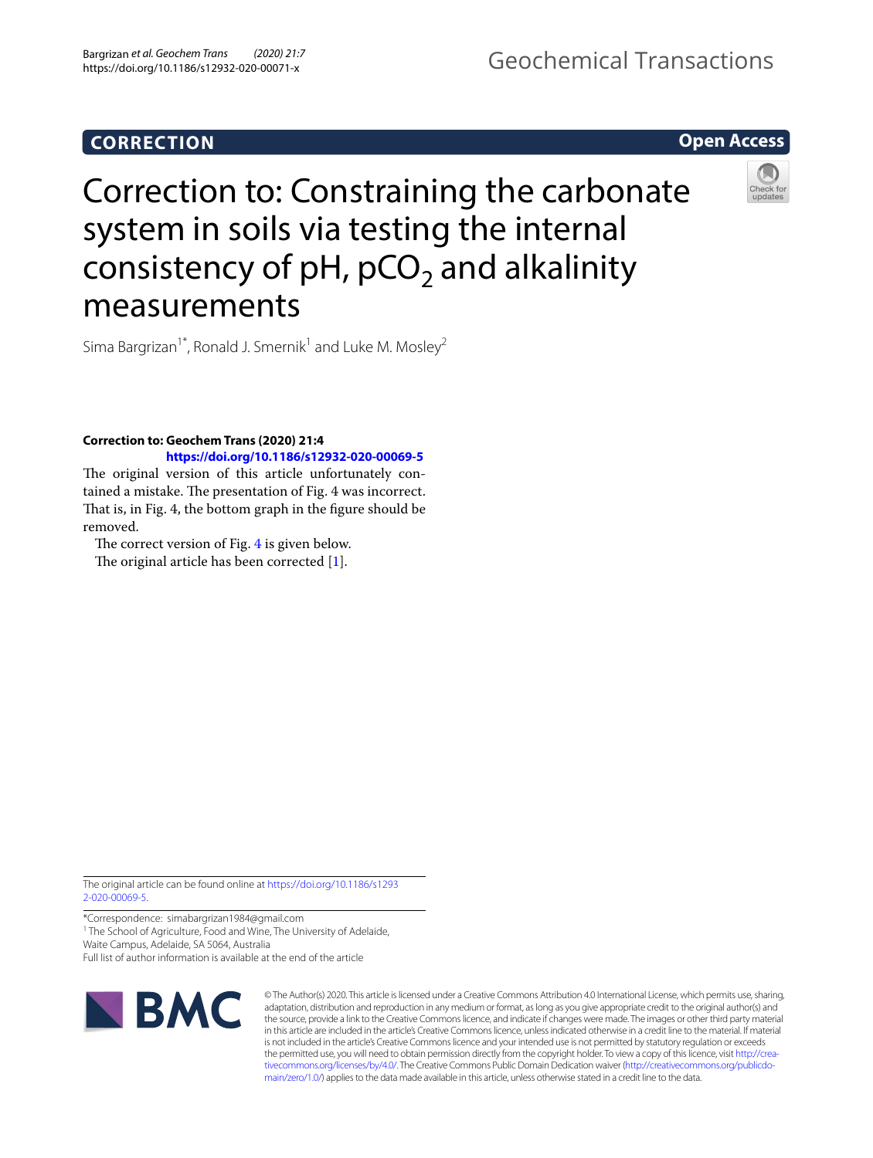## Geochemical Transactions

**Open Access**

# Correction to: Constraining the carbonate system in soils via testing the internal consistency of  $pH$ ,  $pCO<sub>2</sub>$  and alkalinity measurements

Sima Bargrizan<sup>1\*</sup>, Ronald J. Smernik<sup>1</sup> and Luke M. Mosley<sup>2</sup>

### **Correction to: Geochem Trans (2020) 21:4 <https://doi.org/10.1186/s12932-020-00069-5>**

The original version of this article unfortunately contained a mistake. The presentation of Fig. 4 was incorrect. That is, in Fig. 4, the bottom graph in the figure should be removed.

The correct version of Fig. [4](#page-1-0) is given below.

The original article has been corrected  $[1]$  $[1]$ .

The original article can be found online at [https://doi.org/10.1186/s1293](https://doi.org/10.1186/s12932-020-00069-5) [2-020-00069-5.](https://doi.org/10.1186/s12932-020-00069-5)

\*Correspondence: simabargrizan1984@gmail.com <sup>1</sup> The School of Agriculture, Food and Wine, The University of Adelaide,

Waite Campus, Adelaide, SA 5064, Australia Full list of author information is available at the end of the article



© The Author(s) 2020. This article is licensed under a Creative Commons Attribution 4.0 International License, which permits use, sharing, adaptation, distribution and reproduction in any medium or format, as long as you give appropriate credit to the original author(s) and the source, provide a link to the Creative Commons licence, and indicate if changes were made. The images or other third party material in this article are included in the article's Creative Commons licence, unless indicated otherwise in a credit line to the material. If material is not included in the article's Creative Commons licence and your intended use is not permitted by statutory regulation or exceeds the permitted use, you will need to obtain permission directly from the copyright holder. To view a copy of this licence, visit [http://crea](http://creativecommons.org/licenses/by/4.0/)[tivecommons.org/licenses/by/4.0/.](http://creativecommons.org/licenses/by/4.0/) The Creative Commons Public Domain Dedication waiver ([http://creativecommons.org/publicdo](http://creativecommons.org/publicdomain/zero/1.0/)[main/zero/1.0/\)](http://creativecommons.org/publicdomain/zero/1.0/) applies to the data made available in this article, unless otherwise stated in a credit line to the data.